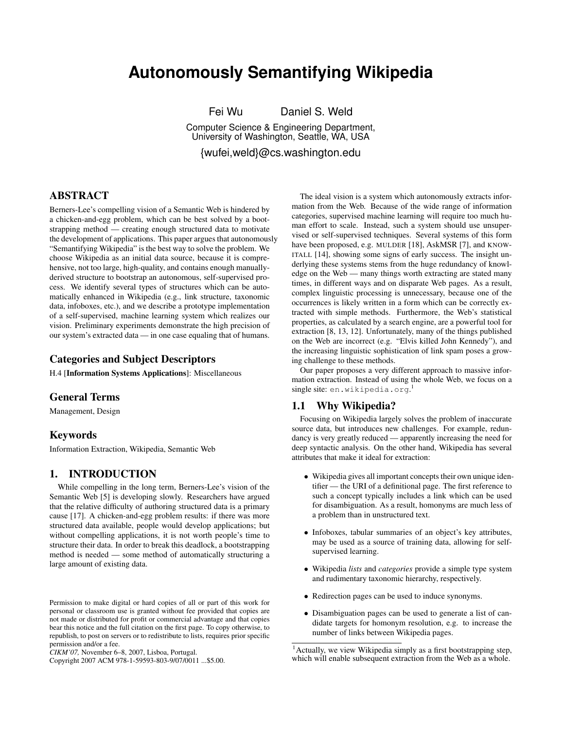# **Autonomously Semantifying Wikipedia**

Fei Wu Daniel S. Weld

Computer Science & Engineering Department, University of Washington, Seattle, WA, USA {wufei,weld}@cs.washington.edu

ABSTRACT

Berners-Lee's compelling vision of a Semantic Web is hindered by a chicken-and-egg problem, which can be best solved by a bootstrapping method — creating enough structured data to motivate the development of applications. This paper argues that autonomously "Semantifying Wikipedia" is the best way to solve the problem. We choose Wikipedia as an initial data source, because it is comprehensive, not too large, high-quality, and contains enough manuallyderived structure to bootstrap an autonomous, self-supervised process. We identify several types of structures which can be automatically enhanced in Wikipedia (e.g., link structure, taxonomic data, infoboxes, etc.), and we describe a prototype implementation of a self-supervised, machine learning system which realizes our vision. Preliminary experiments demonstrate the high precision of our system's extracted data — in one case equaling that of humans.

# Categories and Subject Descriptors

H.4 [Information Systems Applications]: Miscellaneous

# General Terms

Management, Design

## Keywords

Information Extraction, Wikipedia, Semantic Web

# 1. INTRODUCTION

While compelling in the long term, Berners-Lee's vision of the Semantic Web [5] is developing slowly. Researchers have argued that the relative difficulty of authoring structured data is a primary cause [17]. A chicken-and-egg problem results: if there was more structured data available, people would develop applications; but without compelling applications, it is not worth people's time to structure their data. In order to break this deadlock, a bootstrapping method is needed — some method of automatically structuring a large amount of existing data.

The ideal vision is a system which autonomously extracts information from the Web. Because of the wide range of information categories, supervised machine learning will require too much human effort to scale. Instead, such a system should use unsupervised or self-supervised techniques. Several systems of this form have been proposed, e.g. MULDER [18], AskMSR [7], and KNOW-ITALL [14], showing some signs of early success. The insight underlying these systems stems from the huge redundancy of knowledge on the Web — many things worth extracting are stated many times, in different ways and on disparate Web pages. As a result, complex linguistic processing is unnecessary, because one of the occurrences is likely written in a form which can be correctly extracted with simple methods. Furthermore, the Web's statistical properties, as calculated by a search engine, are a powerful tool for extraction [8, 13, 12]. Unfortunately, many of the things published on the Web are incorrect (e.g. "Elvis killed John Kennedy"), and the increasing linguistic sophistication of link spam poses a growing challenge to these methods.

Our paper proposes a very different approach to massive information extraction. Instead of using the whole Web, we focus on a single site: en.wikipedia.org. 1

# 1.1 Why Wikipedia?

Focusing on Wikipedia largely solves the problem of inaccurate source data, but introduces new challenges. For example, redundancy is very greatly reduced — apparently increasing the need for deep syntactic analysis. On the other hand, Wikipedia has several attributes that make it ideal for extraction:

- Wikipedia gives all important concepts their own unique identifier — the URI of a definitional page. The first reference to such a concept typically includes a link which can be used for disambiguation. As a result, homonyms are much less of a problem than in unstructured text.
- Infoboxes, tabular summaries of an object's key attributes, may be used as a source of training data, allowing for selfsupervised learning.
- Wikipedia *lists* and *categories* provide a simple type system and rudimentary taxonomic hierarchy, respectively.
- Redirection pages can be used to induce synonyms.
- Disambiguation pages can be used to generate a list of candidate targets for homonym resolution, e.g. to increase the number of links between Wikipedia pages.

Permission to make digital or hard copies of all or part of this work for personal or classroom use is granted without fee provided that copies are not made or distributed for profit or commercial advantage and that copies bear this notice and the full citation on the first page. To copy otherwise, to republish, to post on servers or to redistribute to lists, requires prior specific permission and/or a fee.

*CIKM'07,* November 6–8, 2007, Lisboa, Portugal.

Copyright 2007 ACM 978-1-59593-803-9/07/0011 ...\$5.00.

 $<sup>1</sup>$ Actually, we view Wikipedia simply as a first bootstrapping step,</sup> which will enable subsequent extraction from the Web as a whole.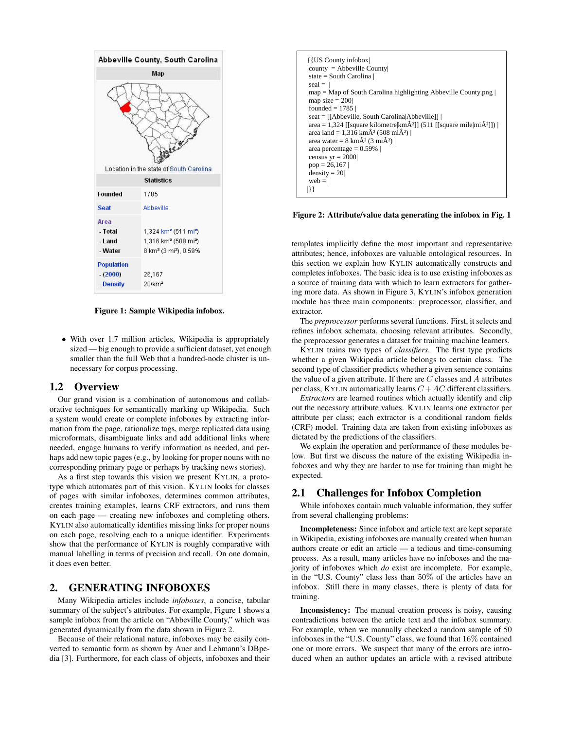

Figure 1: Sample Wikipedia infobox.

• With over 1.7 million articles, Wikipedia is appropriately sized — big enough to provide a sufficient dataset, yet enough smaller than the full Web that a hundred-node cluster is unnecessary for corpus processing.

#### 1.2 Overview

Our grand vision is a combination of autonomous and collaborative techniques for semantically marking up Wikipedia. Such a system would create or complete infoboxes by extracting information from the page, rationalize tags, merge replicated data using microformats, disambiguate links and add additional links where needed, engage humans to verify information as needed, and perhaps add new topic pages (e.g., by looking for proper nouns with no corresponding primary page or perhaps by tracking news stories).

As a first step towards this vision we present KYLIN, a prototype which automates part of this vision. KYLIN looks for classes of pages with similar infoboxes, determines common attributes, creates training examples, learns CRF extractors, and runs them on each page — creating new infoboxes and completing others. KYLIN also automatically identifies missing links for proper nouns on each page, resolving each to a unique identifier. Experiments show that the performance of KYLIN is roughly comparative with manual labelling in terms of precision and recall. On one domain, it does even better.

# 2. GENERATING INFOBOXES

Many Wikipedia articles include *infoboxes*, a concise, tabular summary of the subject's attributes. For example, Figure 1 shows a sample infobox from the article on "Abbeville County," which was generated dynamically from the data shown in Figure 2.

Because of their relational nature, infoboxes may be easily converted to semantic form as shown by Auer and Lehmann's DBpedia [3]. Furthermore, for each class of objects, infoboxes and their



Figure 2: Attribute/value data generating the infobox in Fig. 1

templates implicitly define the most important and representative attributes; hence, infoboxes are valuable ontological resources. In this section we explain how KYLIN automatically constructs and completes infoboxes. The basic idea is to use existing infoboxes as a source of training data with which to learn extractors for gathering more data. As shown in Figure 3, KYLIN's infobox generation module has three main components: preprocessor, classifier, and extractor.

The *preprocessor* performs several functions. First, it selects and refines infobox schemata, choosing relevant attributes. Secondly, the preprocessor generates a dataset for training machine learners.

KYLIN trains two types of *classifiers*. The first type predicts whether a given Wikipedia article belongs to certain class. The second type of classifier predicts whether a given sentence contains the value of a given attribute. If there are  $C$  classes and  $A$  attributes per class, KYLIN automatically learns  $C + AC$  different classifiers.

*Extractors* are learned routines which actually identify and clip out the necessary attribute values. KYLIN learns one extractor per attribute per class; each extractor is a conditional random fields (CRF) model. Training data are taken from existing infoboxes as dictated by the predictions of the classifiers.

We explain the operation and performance of these modules below. But first we discuss the nature of the existing Wikipedia infoboxes and why they are harder to use for training than might be expected.

#### 2.1 Challenges for Infobox Completion

While infoboxes contain much valuable information, they suffer from several challenging problems:

Incompleteness: Since infobox and article text are kept separate in Wikipedia, existing infoboxes are manually created when human authors create or edit an article — a tedious and time-consuming process. As a result, many articles have no infoboxes and the majority of infoboxes which *do* exist are incomplete. For example, in the "U.S. County" class less than 50% of the articles have an infobox. Still there in many classes, there is plenty of data for training.

Inconsistency: The manual creation process is noisy, causing contradictions between the article text and the infobox summary. For example, when we manually checked a random sample of 50 infoboxes in the "U.S. County" class, we found that 16% contained one or more errors. We suspect that many of the errors are introduced when an author updates an article with a revised attribute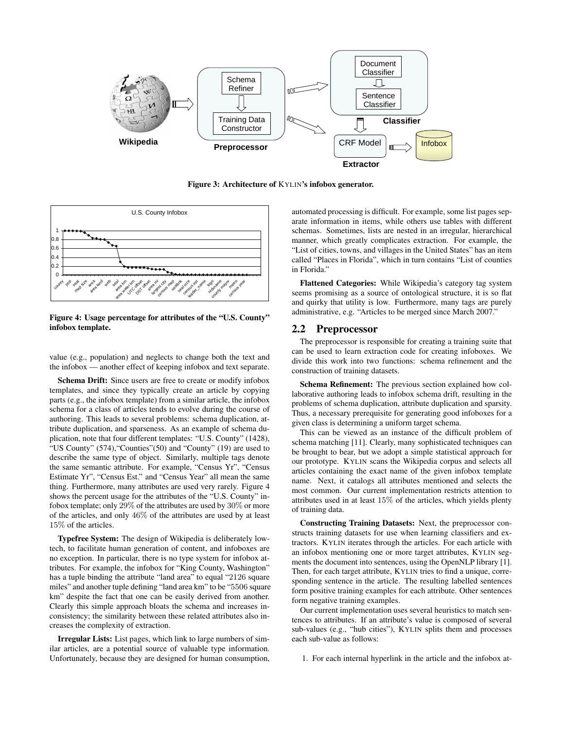

Figure 3: Architecture of KYLIN's infobox generator.



Figure 4: Usage percentage for attributes of the "U.S. County" infobox template.

value (e.g., population) and neglects to change both the text and the infobox — another effect of keeping infobox and text separate.

Schema Drift: Since users are free to create or modify infobox templates, and since they typically create an article by copying parts (e.g., the infobox template) from a similar article, the infobox schema for a class of articles tends to evolve during the course of authoring. This leads to several problems: schema duplication, attribute duplication, and sparseness. As an example of schema duplication, note that four different templates: "U.S. County" (1428), "US County" (574),"Counties"(50) and "County" (19) are used to describe the same type of object. Similarly, multiple tags denote the same semantic attribute. For example, "Census Yr", "Census Estimate Yr", "Census Est." and "Census Year" all mean the same thing. Furthermore, many attributes are used very rarely. Figure 4 shows the percent usage for the attributes of the "U.S. County" infobox template; only 29% of the attributes are used by 30% or more of the articles, and only 46% of the attributes are used by at least 15% of the articles.

Typefree System: The design of Wikipedia is deliberately lowtech, to facilitate human generation of content, and infoboxes are no exception. In particular, there is no type system for infobox attributes. For example, the infobox for "King County, Washington" has a tuple binding the attribute "land area" to equal "2126 square miles" and another tuple defining "land area km" to be "5506 square km" despite the fact that one can be easily derived from another. Clearly this simple approach bloats the schema and increases inconsistency; the similarity between these related attributes also increases the complexity of extraction.

Irregular Lists: List pages, which link to large numbers of similar articles, are a potential source of valuable type information. Unfortunately, because they are designed for human consumption, automated processing is difficult. For example, some list pages separate information in items, while others use tables with different schemas. Sometimes, lists are nested in an irregular, hierarchical manner, which greatly complicates extraction. For example, the "List of cities, towns, and villages in the United States" has an item called "Places in Florida", which in turn contains "List of counties in Florida."

Flattened Categories: While Wikipedia's category tag system seems promising as a source of ontological structure, it is so flat and quirky that utility is low. Furthermore, many tags are purely administrative, e.g. "Articles to be merged since March 2007."

#### 2.2 Preprocessor

The preprocessor is responsible for creating a training suite that can be used to learn extraction code for creating infoboxes. We divide this work into two functions: schema refinement and the construction of training datasets.

Schema Refinement: The previous section explained how collaborative authoring leads to infobox schema drift, resulting in the problems of schema duplication, attribute duplication and sparsity. Thus, a necessary prerequisite for generating good infoboxes for a given class is determining a uniform target schema.

This can be viewed as an instance of the difficult problem of schema matching [11]. Clearly, many sophisticated techniques can be brought to bear, but we adopt a simple statistical approach for our prototype. KYLIN scans the Wikipedia corpus and selects all articles containing the exact name of the given infobox template name. Next, it catalogs all attributes mentioned and selects the most common. Our current implementation restricts attention to attributes used in at least 15% of the articles, which yields plenty of training data.

Constructing Training Datasets: Next, the preprocessor constructs training datasets for use when learning classifiers and extractors. KYLIN iterates through the articles. For each article with an infobox mentioning one or more target attributes, KYLIN segments the document into sentences, using the OpenNLP library [1]. Then, for each target attribute, KYLIN tries to find a unique, corresponding sentence in the article. The resulting labelled sentences form positive training examples for each attribute. Other sentences form negative training examples.

Our current implementation uses several heuristics to match sentences to attributes. If an attribute's value is composed of several sub-values (e.g., "hub cities"), KYLIN splits them and processes each sub-value as follows:

1. For each internal hyperlink in the article and the infobox at-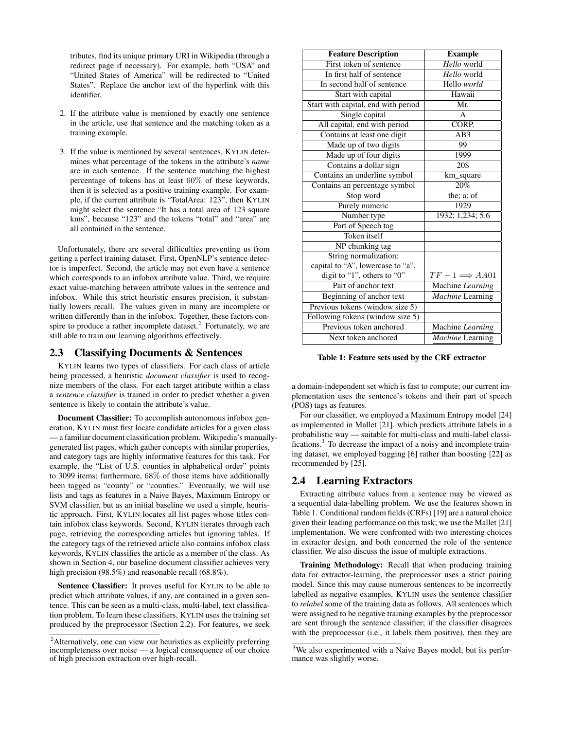tributes, find its unique primary URI in Wikipedia (through a redirect page if necessary). For example, both "USA" and "United States of America" will be redirected to "United States". Replace the anchor text of the hyperlink with this identifier.

- 2. If the attribute value is mentioned by exactly one sentence in the article, use that sentence and the matching token as a training example.
- 3. If the value is mentioned by several sentences, KYLIN determines what percentage of the tokens in the attribute's *name* are in each sentence. If the sentence matching the highest percentage of tokens has at least 60% of these keywords, then it is selected as a positive training example. For example, if the current attribute is "TotalArea: 123", then KYLIN might select the sentence "It has a total area of 123 square kms", because "123" and the tokens "total" and "area" are all contained in the sentence.

Unfortunately, there are several difficulties preventing us from getting a perfect training dataset. First, OpenNLP's sentence detector is imperfect. Second, the article may not even have a sentence which corresponds to an infobox attribute value. Third, we require exact value-matching between attribute values in the sentence and infobox. While this strict heuristic ensures precision, it substantially lowers recall. The values given in many are incomplete or written differently than in the infobox. Together, these factors conspire to produce a rather incomplete dataset.<sup>2</sup> Fortunately, we are still able to train our learning algorithms effectively.

#### 2.3 Classifying Documents & Sentences

KYLIN learns two types of classifiers. For each class of article being processed, a heuristic *document classifier* is used to recognize members of the class. For each target attribute within a class a *sentence classifier* is trained in order to predict whether a given sentence is likely to contain the attribute's value.

Document Classifier: To accomplish autonomous infobox generation, KYLIN must first locate candidate articles for a given class — a familiar document classification problem. Wikipedia's manuallygenerated list pages, which gather concepts with similar properties, and category tags are highly informative features for this task. For example, the "List of U.S. counties in alphabetical order" points to 3099 items; furthermore, 68% of those items have additionally been tagged as "county" or "counties." Eventually, we will use lists and tags as features in a Naive Bayes, Maximum Entropy or SVM classifier, but as an initial baseline we used a simple, heuristic approach. First, KYLIN locates all list pages whose titles contain infobox class keywords. Second, KYLIN iterates through each page, retrieving the corresponding articles but ignoring tables. If the category tags of the retrieved article also contains infobox class keywords, KYLIN classifies the article as a member of the class. As shown in Section 4, our baseline document classifier achieves very high precision (98.5%) and reasonable recall (68.8%).

Sentence Classifier: It proves useful for KYLIN to be able to predict which attribute values, if any, are contained in a given sentence. This can be seen as a multi-class, multi-label, text classification problem. To learn these classifiers, KYLIN uses the training set produced by the preprocessor (Section 2.2). For features, we seek

| <b>Feature Description</b>          | <b>Example</b>              |
|-------------------------------------|-----------------------------|
| First token of sentence             | Hello world                 |
| In first half of sentence           | Hello world                 |
| In second half of sentence          | Hello world                 |
| Start with capital                  | Hawaii                      |
| Start with capital, end with period | Mr.                         |
| Single capital                      | $\mathsf{A}$                |
| All capital, end with period        | CORP.                       |
| Contains at least one digit         | AB3                         |
| Made up of two digits               | 99                          |
| Made up of four digits              | 1999                        |
| Contains a dollar sign              | 20\$                        |
| Contains an underline symbol        | km_square                   |
| Contains an percentage symbol       | $\sqrt{20\%}$               |
| Stop word                           | the; $a$ ; of               |
| Purely numeric                      | 1929                        |
| Number type                         | 1932; 1,234; 5.6            |
| Part of Speech tag                  |                             |
| Token itself                        |                             |
| NP chunking tag                     |                             |
| String normalization:               |                             |
| capital to "A", lowercase to "a",   |                             |
| digit to "1", others to "0"         | $TF-1 \Longrightarrow AAO1$ |
| Part of anchor text                 | Machine Learning            |
| Beginning of anchor text            | <b>Machine Learning</b>     |
| Previous tokens (window size 5)     |                             |
| Following tokens (window size 5)    |                             |
| Previous token anchored             | Machine Learning            |
| Next token anchored                 | <b>Machine</b> Learning     |

Table 1: Feature sets used by the CRF extractor

a domain-independent set which is fast to compute; our current implementation uses the sentence's tokens and their part of speech (POS) tags as features.

For our classifier, we employed a Maximum Entropy model [24] as implemented in Mallet [21], which predicts attribute labels in a probabilistic way — suitable for multi-class and multi-label classifications.<sup>3</sup> To decrease the impact of a noisy and incomplete training dataset, we employed bagging [6] rather than boosting [22] as recommended by [25].

## 2.4 Learning Extractors

Extracting attribute values from a sentence may be viewed as a sequential data-labelling problem. We use the features shown in Table 1. Conditional random fields (CRFs) [19] are a natural choice given their leading performance on this task; we use the Mallet [21] implementation. We were confronted with two interesting choices in extractor design, and both concerned the role of the sentence classifier. We also discuss the issue of multiple extractions.

Training Methodology: Recall that when producing training data for extractor-learning, the preprocessor uses a strict pairing model. Since this may cause numerous sentences to be incorrectly labelled as negative examples, KYLIN uses the sentence classifier to *relabel* some of the training data as follows. All sentences which were assigned to be negative training examples by the preprocessor are sent through the sentence classifier; if the classifier disagrees with the preprocessor (i.e., it labels them positive), then they are

<sup>&</sup>lt;sup>2</sup>Alternatively, one can view our heuristics as explicitly preferring incompleteness over noise — a logical consequence of our choice of high precision extraction over high-recall.

<sup>&</sup>lt;sup>3</sup>We also experimented with a Naive Bayes model, but its performance was slightly worse.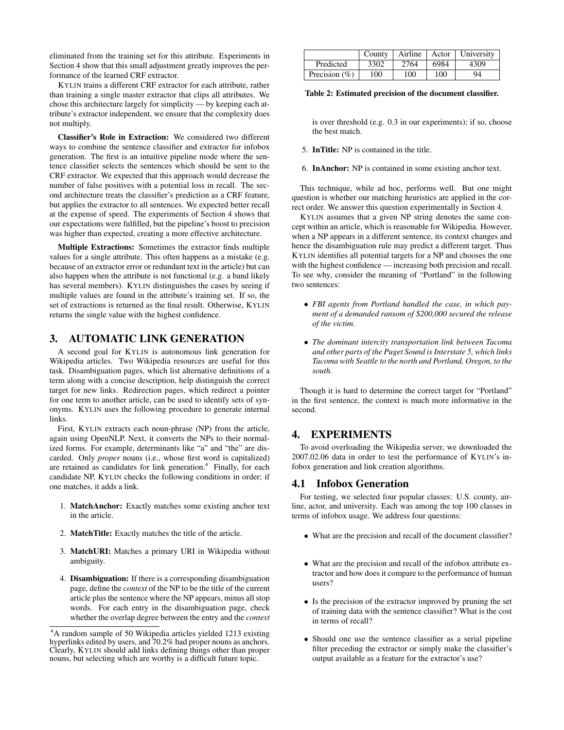eliminated from the training set for this attribute. Experiments in Section 4 show that this small adjustment greatly improves the performance of the learned CRF extractor.

KYLIN trains a different CRF extractor for each attribute, rather than training a single master extractor that clips all attributes. We chose this architecture largely for simplicity — by keeping each attribute's extractor independent, we ensure that the complexity does not multiply.

Classifier's Role in Extraction: We considered two different ways to combine the sentence classifier and extractor for infobox generation. The first is an intuitive pipeline mode where the sentence classifier selects the sentences which should be sent to the CRF extractor. We expected that this approach would decrease the number of false positives with a potential loss in recall. The second architecture treats the classifier's prediction as a CRF feature, but applies the extractor to all sentences. We expected better recall at the expense of speed. The experiments of Section 4 shows that our expectations were fulfilled, but the pipeline's boost to precision was higher than expected, creating a more effective architecture.

Multiple Extractions: Sometimes the extractor finds multiple values for a single attribute. This often happens as a mistake (e.g. because of an extractor error or redundant text in the article) but can also happen when the attribute is not functional (e.g. a band likely has several members). KYLIN distinguishes the cases by seeing if multiple values are found in the attribute's training set. If so, the set of extractions is returned as the final result. Otherwise, KYLIN returns the single value with the highest confidence.

#### 3. AUTOMATIC LINK GENERATION

A second goal for KYLIN is autonomous link generation for Wikipedia articles. Two Wikipedia resources are useful for this task. Disambiguation pages, which list alternative definitions of a term along with a concise description, help distinguish the correct target for new links. Redirection pages, which redirect a pointer for one term to another article, can be used to identify sets of synonyms. KYLIN uses the following procedure to generate internal links.

First, KYLIN extracts each noun-phrase (NP) from the article, again using OpenNLP. Next, it converts the NPs to their normalized forms. For example, determinants like "a" and "the" are discarded. Only *proper* nouns (i.e., whose first word is capitalized) are retained as candidates for link generation.<sup>4</sup> Finally, for each candidate NP, KYLIN checks the following conditions in order; if one matches, it adds a link.

- 1. MatchAnchor: Exactly matches some existing anchor text in the article.
- 2. MatchTitle: Exactly matches the title of the article.
- 3. MatchURI: Matches a primary URI in Wikipedia without ambiguity.
- 4. Disambiguation: If there is a corresponding disambiguation page, define the *context* of the NP to be the title of the current article plus the sentence where the NP appears, minus all stop words. For each entry in the disambiguation page, check whether the overlap degree between the entry and the *context*

|                   | County | Airline |      | Actor   University |
|-------------------|--------|---------|------|--------------------|
| Predicted         | 3302   | 2764    | 6984 | 4309               |
| Precision $(\% )$ | 100    | 100     | 100  | 94                 |

Table 2: Estimated precision of the document classifier.

is over threshold (e.g. 0.3 in our experiments); if so, choose the best match.

- 5. InTitle: NP is contained in the title.
- 6. InAnchor: NP is contained in some existing anchor text.

This technique, while ad hoc, performs well. But one might question is whether our matching heuristics are applied in the correct order. We answer this question experimentally in Section 4.

KYLIN assumes that a given NP string denotes the same concept within an article, which is reasonable for Wikipedia. However, when a NP appears in a different sentence, its context changes and hence the disambiguation rule may predict a different target. Thus KYLIN identifies all potential targets for a NP and chooses the one with the highest confidence — increasing both precision and recall. To see why, consider the meaning of "Portland" in the following two sentences:

- *FBI agents from Portland handled the case, in which payment of a demanded ransom of \$200,000 secured the release of the victim.*
- *The dominant intercity transportation link between Tacoma and other parts of the Puget Sound is Interstate 5, which links Tacoma with Seattle to the north and Portland, Oregon, to the south.*

Though it is hard to determine the correct target for "Portland" in the first sentence, the context is much more informative in the second.

### 4. EXPERIMENTS

To avoid overloading the Wikipedia server, we downloaded the 2007.02.06 data in order to test the performance of KYLIN's infobox generation and link creation algorithms.

#### 4.1 Infobox Generation

For testing, we selected four popular classes: U.S. county, airline, actor, and university. Each was among the top 100 classes in terms of infobox usage. We address four questions:

- What are the precision and recall of the document classifier?
- What are the precision and recall of the infobox attribute extractor and how does it compare to the performance of human users?
- Is the precision of the extractor improved by pruning the set of training data with the sentence classifier? What is the cost in terms of recall?
- Should one use the sentence classifier as a serial pipeline filter preceding the extractor or simply make the classifier's output available as a feature for the extractor's use?

<sup>4</sup>A random sample of 50 Wikipedia articles yielded 1213 existing hyperlinks edited by users, and 70.2% had proper nouns as anchors. Clearly, KYLIN should add links defining things other than proper nouns, but selecting which are worthy is a difficult future topic.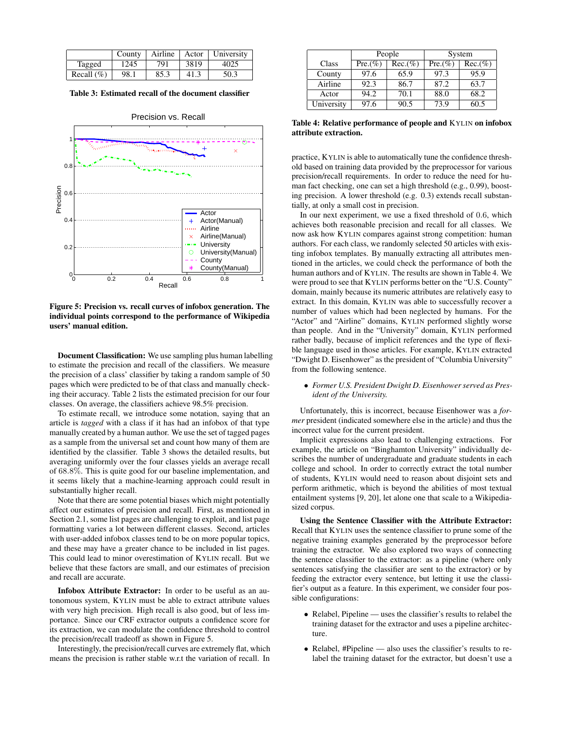|               | County | Airline |      | Actor   University |
|---------------|--------|---------|------|--------------------|
| Tagged        | 1245   | 791     | 3819 | 4025               |
| Recall $(\%)$ | 98.1   | 85.3    | 41.3 | 50.3               |

Table 3: Estimated recall of the document classifier



Figure 5: Precision vs. recall curves of infobox generation. The individual points correspond to the performance of Wikipedia users' manual edition.

Document Classification: We use sampling plus human labelling to estimate the precision and recall of the classifiers. We measure the precision of a class' classifier by taking a random sample of 50 pages which were predicted to be of that class and manually checking their accuracy. Table 2 lists the estimated precision for our four classes. On average, the classifiers achieve 98.5% precision.

To estimate recall, we introduce some notation, saying that an article is *tagged* with a class if it has had an infobox of that type manually created by a human author. We use the set of tagged pages as a sample from the universal set and count how many of them are identified by the classifier. Table 3 shows the detailed results, but averaging uniformly over the four classes yields an average recall of 68.8%. This is quite good for our baseline implementation, and it seems likely that a machine-learning approach could result in substantially higher recall.

Note that there are some potential biases which might potentially affect our estimates of precision and recall. First, as mentioned in Section 2.1, some list pages are challenging to exploit, and list page formatting varies a lot between different classes. Second, articles with user-added infobox classes tend to be on more popular topics, and these may have a greater chance to be included in list pages. This could lead to minor overestimation of KYLIN recall. But we believe that these factors are small, and our estimates of precision and recall are accurate.

Infobox Attribute Extractor: In order to be useful as an autonomous system, KYLIN must be able to extract attribute values with very high precision. High recall is also good, but of less importance. Since our CRF extractor outputs a confidence score for its extraction, we can modulate the confidence threshold to control the precision/recall tradeoff as shown in Figure 5.

Interestingly, the precision/recall curves are extremely flat, which means the precision is rather stable w.r.t the variation of recall. In

|            | People     |            | System     |            |
|------------|------------|------------|------------|------------|
| Class      | $Pre.(\%)$ | $Rec.(\%)$ | $Pre.(\%)$ | $Rec.(\%)$ |
| County     | 97.6       | 65.9       | 97.3       | 95.9       |
| Airline    | 92.3       | 86.7       | 87.2       | 63.7       |
| Actor      | 94.2       | 70.1       | 88.0       | 68.2       |
| University | 97.6       | 90.5       | 73.9       | 60.5       |

Table 4: Relative performance of people and KYLIN on infobox attribute extraction.

practice, KYLIN is able to automatically tune the confidence threshold based on training data provided by the preprocessor for various precision/recall requirements. In order to reduce the need for human fact checking, one can set a high threshold (e.g., 0.99), boosting precision. A lower threshold (e.g. 0.3) extends recall substantially, at only a small cost in precision.

In our next experiment, we use a fixed threshold of 0.6, which achieves both reasonable precision and recall for all classes. We now ask how KYLIN compares against strong competition: human authors. For each class, we randomly selected 50 articles with existing infobox templates. By manually extracting all attributes mentioned in the articles, we could check the performance of both the human authors and of KYLIN. The results are shown in Table 4. We were proud to see that KYLIN performs better on the "U.S. County" domain, mainly because its numeric attributes are relatively easy to extract. In this domain, KYLIN was able to successfully recover a number of values which had been neglected by humans. For the "Actor" and "Airline" domains, KYLIN performed slightly worse than people. And in the "University" domain, KYLIN performed rather badly, because of implicit references and the type of flexible language used in those articles. For example, KYLIN extracted "Dwight D. Eisenhower" as the president of "Columbia University" from the following sentence.

• *Former U.S. President Dwight D. Eisenhower served as President of the University.*

Unfortunately, this is incorrect, because Eisenhower was a *former* president (indicated somewhere else in the article) and thus the incorrect value for the current president.

Implicit expressions also lead to challenging extractions. For example, the article on "Binghamton University" individually describes the number of undergraduate and graduate students in each college and school. In order to correctly extract the total number of students, KYLIN would need to reason about disjoint sets and perform arithmetic, which is beyond the abilities of most textual entailment systems [9, 20], let alone one that scale to a Wikipediasized corpus.

Using the Sentence Classifier with the Attribute Extractor: Recall that KYLIN uses the sentence classifier to prune some of the negative training examples generated by the preprocessor before training the extractor. We also explored two ways of connecting the sentence classifier to the extractor: as a pipeline (where only sentences satisfying the classifier are sent to the extractor) or by feeding the extractor every sentence, but letting it use the classifier's output as a feature. In this experiment, we consider four possible configurations:

- Relabel, Pipeline uses the classifier's results to relabel the training dataset for the extractor and uses a pipeline architecture.
- Relabel, #Pipeline also uses the classifier's results to relabel the training dataset for the extractor, but doesn't use a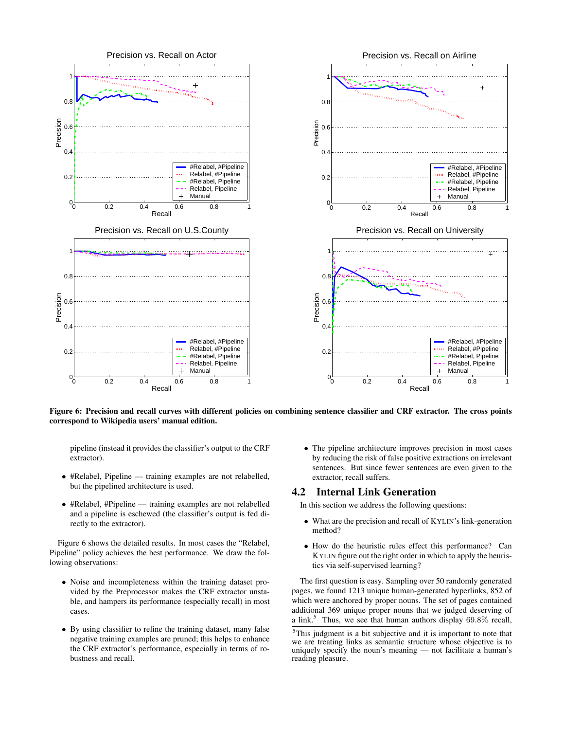

Figure 6: Precision and recall curves with different policies on combining sentence classifier and CRF extractor. The cross points correspond to Wikipedia users' manual edition.

pipeline (instead it provides the classifier's output to the CRF extractor).

- #Relabel, Pipeline training examples are not relabelled, but the pipelined architecture is used.
- #Relabel, #Pipeline training examples are not relabelled and a pipeline is eschewed (the classifier's output is fed directly to the extractor).

Figure 6 shows the detailed results. In most cases the "Relabel, Pipeline" policy achieves the best performance. We draw the following observations:

- Noise and incompleteness within the training dataset provided by the Preprocessor makes the CRF extractor unstable, and hampers its performance (especially recall) in most cases.
- By using classifier to refine the training dataset, many false negative training examples are pruned; this helps to enhance the CRF extractor's performance, especially in terms of robustness and recall.

• The pipeline architecture improves precision in most cases by reducing the risk of false positive extractions on irrelevant sentences. But since fewer sentences are even given to the extractor, recall suffers.

## 4.2 Internal Link Generation

In this section we address the following questions:

- What are the precision and recall of KYLIN's link-generation method?
- How do the heuristic rules effect this performance? Can KYLIN figure out the right order in which to apply the heuristics via self-supervised learning?

The first question is easy. Sampling over 50 randomly generated pages, we found 1213 unique human-generated hyperlinks, 852 of which were anchored by proper nouns. The set of pages contained additional 369 unique proper nouns that we judged deserving of a link.<sup>5</sup> Thus, we see that human authors display  $69.8\%$  recall,

<sup>5</sup>This judgment is a bit subjective and it is important to note that we are treating links as semantic structure whose objective is to uniquely specify the noun's meaning — not facilitate a human's reading pleasure.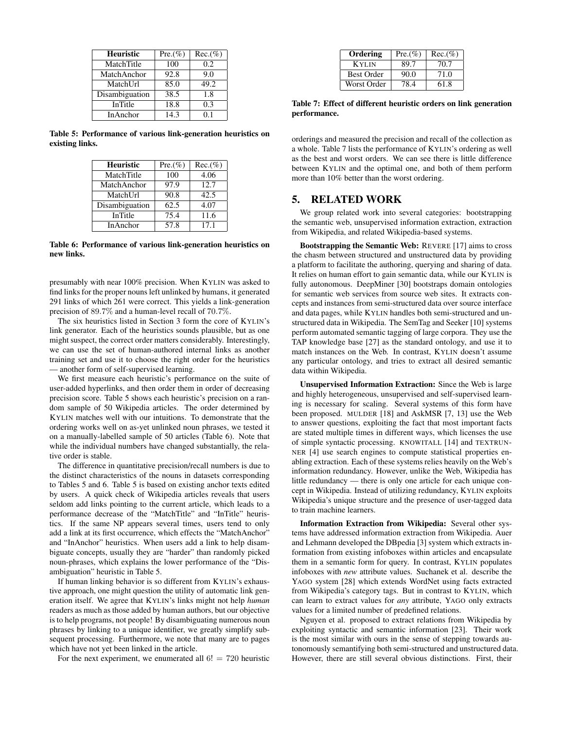| <b>Heuristic</b> | $Pre. (\%)$ | $Rec. (\% )$ |
|------------------|-------------|--------------|
| MatchTitle       | 100         | 0.2          |
| MatchAnchor      | 92.8        | 9.0          |
| MatchUrl         | 85.0        | 49.2         |
| Disambiguation   | 38.5        | 1.8          |
| <b>InTitle</b>   | 18.8        | 0.3          |
| InAnchor         | 14.3        | 01           |

Table 5: Performance of various link-generation heuristics on existing links.

| <b>Heuristic</b> | $Pre. (\% )$ | $Rec.(\%)$ |
|------------------|--------------|------------|
| MatchTitle       | 100          | 4.06       |
| MatchAnchor      | 97.9         | 12.7       |
| MatchUrl         | 90.8         | 42.5       |
| Disambiguation   | 62.5         | 4.07       |
| InTitle          | 75.4         | 11.6       |
| InAnchor         | 57.8         | 17.1       |

Table 6: Performance of various link-generation heuristics on new links.

presumably with near 100% precision. When KYLIN was asked to find links for the proper nouns left unlinked by humans, it generated 291 links of which 261 were correct. This yields a link-generation precision of 89.7% and a human-level recall of 70.7%.

The six heuristics listed in Section 3 form the core of KYLIN's link generator. Each of the heuristics sounds plausible, but as one might suspect, the correct order matters considerably. Interestingly, we can use the set of human-authored internal links as another training set and use it to choose the right order for the heuristics — another form of self-supervised learning.

We first measure each heuristic's performance on the suite of user-added hyperlinks, and then order them in order of decreasing precision score. Table 5 shows each heuristic's precision on a random sample of 50 Wikipedia articles. The order determined by KYLIN matches well with our intuitions. To demonstrate that the ordering works well on as-yet unlinked noun phrases, we tested it on a manually-labelled sample of 50 articles (Table 6). Note that while the individual numbers have changed substantially, the relative order is stable.

The difference in quantitative precision/recall numbers is due to the distinct characteristics of the nouns in datasets corresponding to Tables 5 and 6. Table 5 is based on existing anchor texts edited by users. A quick check of Wikipedia articles reveals that users seldom add links pointing to the current article, which leads to a performance decrease of the "MatchTitle" and "InTitle" heuristics. If the same NP appears several times, users tend to only add a link at its first occurrence, which effects the "MatchAnchor" and "InAnchor" heuristics. When users add a link to help disambiguate concepts, usually they are "harder" than randomly picked noun-phrases, which explains the lower performance of the "Disambiguation" heuristic in Table 5.

If human linking behavior is so different from KYLIN's exhaustive approach, one might question the utility of automatic link generation itself. We agree that KYLIN's links might not help *human* readers as much as those added by human authors, but our objective is to help programs, not people! By disambiguating numerous noun phrases by linking to a unique identifier, we greatly simplify subsequent processing. Furthermore, we note that many are to pages which have not yet been linked in the article.

For the next experiment, we enumerated all  $6! = 720$  heuristic

| Ordering          | $Pre.(\%)$ | $Rec.(\%)$ |
|-------------------|------------|------------|
| K yi jn           | 89.7       | 70.7       |
| <b>Best Order</b> | 90.0       | 71.0       |
| Worst Order       | 78.4       | 61.8       |

Table 7: Effect of different heuristic orders on link generation performance.

orderings and measured the precision and recall of the collection as a whole. Table 7 lists the performance of KYLIN's ordering as well as the best and worst orders. We can see there is little difference between KYLIN and the optimal one, and both of them perform more than 10% better than the worst ordering.

## 5. RELATED WORK

We group related work into several categories: bootstrapping the semantic web, unsupervised information extraction, extraction from Wikipedia, and related Wikipedia-based systems.

Bootstrapping the Semantic Web: REVERE [17] aims to cross the chasm between structured and unstructured data by providing a platform to facilitate the authoring, querying and sharing of data. It relies on human effort to gain semantic data, while our KYLIN is fully autonomous. DeepMiner [30] bootstraps domain ontologies for semantic web services from source web sites. It extracts concepts and instances from semi-structured data over source interface and data pages, while KYLIN handles both semi-structured and unstructured data in Wikipedia. The SemTag and Seeker [10] systems perform automated semantic tagging of large corpora. They use the TAP knowledge base [27] as the standard ontology, and use it to match instances on the Web. In contrast, KYLIN doesn't assume any particular ontology, and tries to extract all desired semantic data within Wikipedia.

Unsupervised Information Extraction: Since the Web is large and highly heterogeneous, unsupervised and self-supervised learning is necessary for scaling. Several systems of this form have been proposed. MULDER [18] and AskMSR [7, 13] use the Web to answer questions, exploiting the fact that most important facts are stated multiple times in different ways, which licenses the use of simple syntactic processing. KNOWITALL [14] and TEXTRUN-NER [4] use search engines to compute statistical properties enabling extraction. Each of these systems relies heavily on the Web's information redundancy. However, unlike the Web, Wikipedia has little redundancy — there is only one article for each unique concept in Wikipedia. Instead of utilizing redundancy, KYLIN exploits Wikipedia's unique structure and the presence of user-tagged data to train machine learners.

Information Extraction from Wikipedia: Several other systems have addressed information extraction from Wikipedia. Auer and Lehmann developed the DBpedia [3] system which extracts information from existing infoboxes within articles and encapsulate them in a semantic form for query. In contrast, KYLIN populates infoboxes with *new* attribute values. Suchanek et al. describe the YAGO system [28] which extends WordNet using facts extracted from Wikipedia's category tags. But in contrast to KYLIN, which can learn to extract values for *any* attribute, YAGO only extracts values for a limited number of predefined relations.

Nguyen et al. proposed to extract relations from Wikipedia by exploiting syntactic and semantic information [23]. Their work is the most similar with ours in the sense of stepping towards autonomously semantifying both semi-structured and unstructured data. However, there are still several obvious distinctions. First, their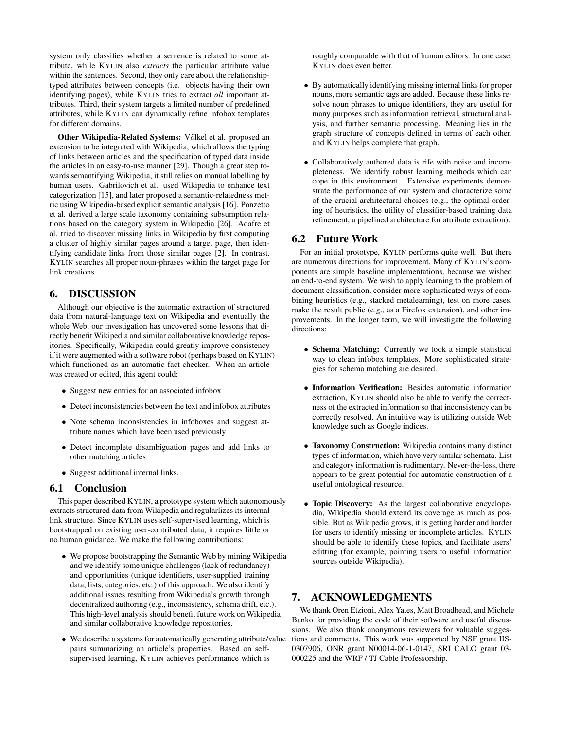system only classifies whether a sentence is related to some attribute, while KYLIN also *extracts* the particular attribute value within the sentences. Second, they only care about the relationshiptyped attributes between concepts (i.e. objects having their own identifying pages), while KYLIN tries to extract *all* important attributes. Third, their system targets a limited number of predefined attributes, while KYLIN can dynamically refine infobox templates for different domains.

Other Wikipedia-Related Systems: Völkel et al. proposed an extension to be integrated with Wikipedia, which allows the typing of links between articles and the specification of typed data inside the articles in an easy-to-use manner [29]. Though a great step towards semantifying Wikipedia, it still relies on manual labelling by human users. Gabrilovich et al. used Wikipedia to enhance text categorization [15], and later proposed a semantic-relatedness metric using Wikipedia-based explicit semantic analysis [16]. Ponzetto et al. derived a large scale taxonomy containing subsumption relations based on the category system in Wikipedia [26]. Adafre et al. tried to discover missing links in Wikipedia by first computing a cluster of highly similar pages around a target page, then identifying candidate links from those similar pages [2]. In contrast, KYLIN searches all proper noun-phrases within the target page for link creations.

## 6. DISCUSSION

Although our objective is the automatic extraction of structured data from natural-language text on Wikipedia and eventually the whole Web, our investigation has uncovered some lessons that directly benefit Wikipedia and similar collaborative knowledge repositories. Specifically, Wikipedia could greatly improve consistency if it were augmented with a software robot (perhaps based on KYLIN) which functioned as an automatic fact-checker. When an article was created or edited, this agent could:

- Suggest new entries for an associated infobox
- Detect inconsistencies between the text and infobox attributes
- Note schema inconsistencies in infoboxes and suggest attribute names which have been used previously
- Detect incomplete disambiguation pages and add links to other matching articles
- Suggest additional internal links.

## 6.1 Conclusion

This paper described KYLIN, a prototype system which autonomously extracts structured data from Wikipedia and regularlizes its internal link structure. Since KYLIN uses self-supervised learning, which is bootstrapped on existing user-contributed data, it requires little or no human guidance. We make the following contributions:

- We propose bootstrapping the Semantic Web by mining Wikipedia and we identify some unique challenges (lack of redundancy) and opportunities (unique identifiers, user-supplied training data, lists, categories, etc.) of this approach. We also identify additional issues resulting from Wikipedia's growth through decentralized authoring (e.g., inconsistency, schema drift, etc.). This high-level analysis should benefit future work on Wikipedia and similar collaborative knowledge repositories.
- We describe a systems for automatically generating attribute/value pairs summarizing an article's properties. Based on selfsupervised learning, KYLIN achieves performance which is

roughly comparable with that of human editors. In one case, KYLIN does even better.

- By automatically identifying missing internal links for proper nouns, more semantic tags are added. Because these links resolve noun phrases to unique identifiers, they are useful for many purposes such as information retrieval, structural analysis, and further semantic processing. Meaning lies in the graph structure of concepts defined in terms of each other, and KYLIN helps complete that graph.
- Collaboratively authored data is rife with noise and incompleteness. We identify robust learning methods which can cope in this environment. Extensive experiments demonstrate the performance of our system and characterize some of the crucial architectural choices (e.g., the optimal ordering of heuristics, the utility of classifier-based training data refinement, a pipelined architecture for attribute extraction).

## 6.2 Future Work

For an initial prototype, KYLIN performs quite well. But there are numerous directions for improvement. Many of KYLIN's components are simple baseline implementations, because we wished an end-to-end system. We wish to apply learning to the problem of document classification, consider more sophisticated ways of combining heuristics (e.g., stacked metalearning), test on more cases, make the result public (e.g., as a Firefox extension), and other improvements. In the longer term, we will investigate the following directions:

- Schema Matching: Currently we took a simple statistical way to clean infobox templates. More sophisticated strategies for schema matching are desired.
- Information Verification: Besides automatic information extraction, KYLIN should also be able to verify the correctness of the extracted information so that inconsistency can be correctly resolved. An intuitive way is utilizing outside Web knowledge such as Google indices.
- Taxonomy Construction: Wikipedia contains many distinct types of information, which have very similar schemata. List and category information is rudimentary. Never-the-less, there appears to be great potential for automatic construction of a useful ontological resource.
- Topic Discovery: As the largest collaborative encyclopedia, Wikipedia should extend its coverage as much as possible. But as Wikipedia grows, it is getting harder and harder for users to identify missing or incomplete articles. KYLIN should be able to identify these topics, and facilitate users' editting (for example, pointing users to useful information sources outside Wikipedia).

#### 7. ACKNOWLEDGMENTS

We thank Oren Etzioni, Alex Yates, Matt Broadhead, and Michele Banko for providing the code of their software and useful discussions. We also thank anonymous reviewers for valuable suggestions and comments. This work was supported by NSF grant IIS-0307906, ONR grant N00014-06-1-0147, SRI CALO grant 03- 000225 and the WRF / TJ Cable Professorship.